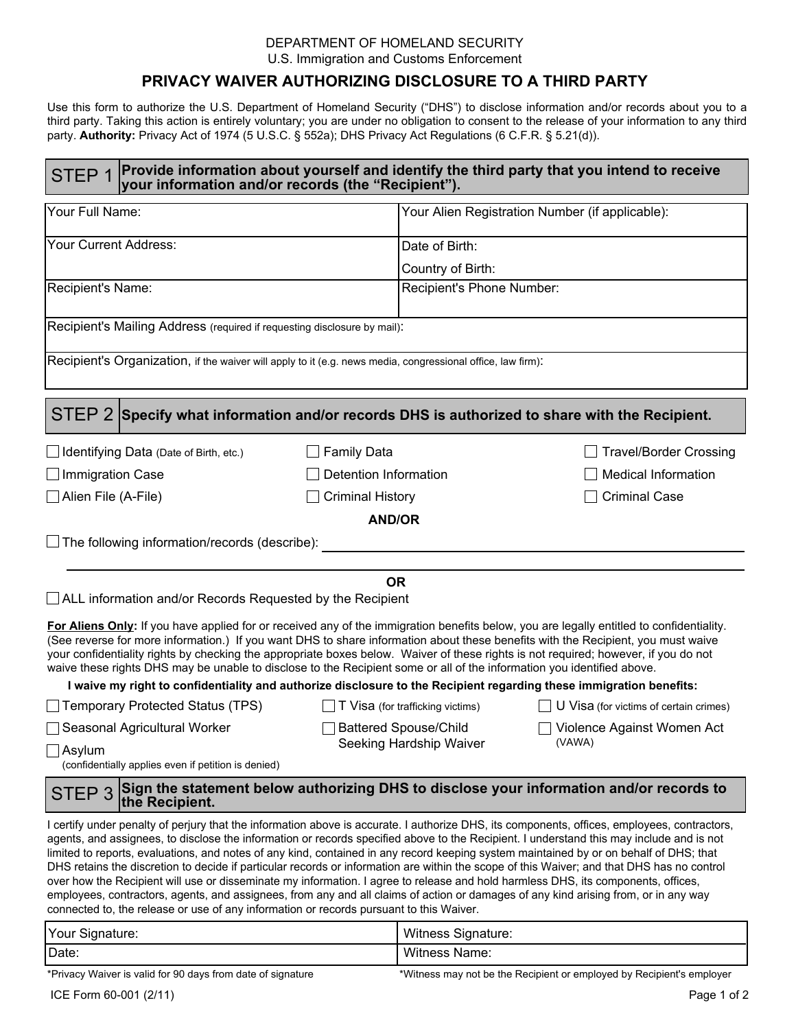### DEPARTMENT OF HOMELAND SECURITY U.S. Immigration and Customs Enforcement

## **PRIVACY WAIVER AUTHORIZING DISCLOSURE TO A THIRD PARTY**

Use this form to authorize the U.S. Department of Homeland Security ("DHS") to disclose information and/or records about you to a third party. Taking this action is entirely voluntary; you are under no obligation to consent to the release of your information to any third party. Authority: Privacy Act of 1974 (5 U.S.C. § 552a); DHS Privacy Act Regulations (6 C.F.R. § 5.21(d)).

# STEP 1 Provide information about yourself and identify the third party that you intend to receive STEP 1 your information and/or records (the "Recipient").

| Your Full Name:                                                                                                                                                                                                                                                                                                                                                                                                                                                                                                                                                                                                                                                                                                                                                                                                                                                                                                                                         |                                         | Your Alien Registration Number (if applicable): |  |
|---------------------------------------------------------------------------------------------------------------------------------------------------------------------------------------------------------------------------------------------------------------------------------------------------------------------------------------------------------------------------------------------------------------------------------------------------------------------------------------------------------------------------------------------------------------------------------------------------------------------------------------------------------------------------------------------------------------------------------------------------------------------------------------------------------------------------------------------------------------------------------------------------------------------------------------------------------|-----------------------------------------|-------------------------------------------------|--|
| Your Current Address:                                                                                                                                                                                                                                                                                                                                                                                                                                                                                                                                                                                                                                                                                                                                                                                                                                                                                                                                   | Date of Birth:                          |                                                 |  |
|                                                                                                                                                                                                                                                                                                                                                                                                                                                                                                                                                                                                                                                                                                                                                                                                                                                                                                                                                         | Country of Birth:                       |                                                 |  |
| Recipient's Name:                                                                                                                                                                                                                                                                                                                                                                                                                                                                                                                                                                                                                                                                                                                                                                                                                                                                                                                                       |                                         | Recipient's Phone Number:                       |  |
| Recipient's Mailing Address (required if requesting disclosure by mail):                                                                                                                                                                                                                                                                                                                                                                                                                                                                                                                                                                                                                                                                                                                                                                                                                                                                                |                                         |                                                 |  |
| Recipient's Organization, if the waiver will apply to it (e.g. news media, congressional office, law firm):                                                                                                                                                                                                                                                                                                                                                                                                                                                                                                                                                                                                                                                                                                                                                                                                                                             |                                         |                                                 |  |
| STEP 2 Specify what information and/or records DHS is authorized to share with the Recipient.                                                                                                                                                                                                                                                                                                                                                                                                                                                                                                                                                                                                                                                                                                                                                                                                                                                           |                                         |                                                 |  |
| $\Box$ Identifying Data (Date of Birth, etc.)                                                                                                                                                                                                                                                                                                                                                                                                                                                                                                                                                                                                                                                                                                                                                                                                                                                                                                           | <b>Family Data</b>                      | <b>Travel/Border Crossing</b>                   |  |
| $\Box$ Immigration Case                                                                                                                                                                                                                                                                                                                                                                                                                                                                                                                                                                                                                                                                                                                                                                                                                                                                                                                                 | <b>Detention Information</b>            | <b>Medical Information</b>                      |  |
| $\Box$ Alien File (A-File)                                                                                                                                                                                                                                                                                                                                                                                                                                                                                                                                                                                                                                                                                                                                                                                                                                                                                                                              | <b>Criminal History</b>                 | <b>Criminal Case</b>                            |  |
| <b>AND/OR</b>                                                                                                                                                                                                                                                                                                                                                                                                                                                                                                                                                                                                                                                                                                                                                                                                                                                                                                                                           |                                         |                                                 |  |
| $\Box$ The following information/records (describe):                                                                                                                                                                                                                                                                                                                                                                                                                                                                                                                                                                                                                                                                                                                                                                                                                                                                                                    |                                         |                                                 |  |
|                                                                                                                                                                                                                                                                                                                                                                                                                                                                                                                                                                                                                                                                                                                                                                                                                                                                                                                                                         |                                         |                                                 |  |
| <b>OR</b>                                                                                                                                                                                                                                                                                                                                                                                                                                                                                                                                                                                                                                                                                                                                                                                                                                                                                                                                               |                                         |                                                 |  |
| ALL information and/or Records Requested by the Recipient                                                                                                                                                                                                                                                                                                                                                                                                                                                                                                                                                                                                                                                                                                                                                                                                                                                                                               |                                         |                                                 |  |
| For Aliens Only: If you have applied for or received any of the immigration benefits below, you are legally entitled to confidentiality.<br>(See reverse for more information.) If you want DHS to share information about these benefits with the Recipient, you must waive<br>your confidentiality rights by checking the appropriate boxes below. Waiver of these rights is not required; however, if you do not<br>waive these rights DHS may be unable to disclose to the Recipient some or all of the information you identified above.                                                                                                                                                                                                                                                                                                                                                                                                           |                                         |                                                 |  |
| I waive my right to confidentiality and authorize disclosure to the Recipient regarding these immigration benefits:                                                                                                                                                                                                                                                                                                                                                                                                                                                                                                                                                                                                                                                                                                                                                                                                                                     |                                         |                                                 |  |
| Temporary Protected Status (TPS)                                                                                                                                                                                                                                                                                                                                                                                                                                                                                                                                                                                                                                                                                                                                                                                                                                                                                                                        | $\Box$ T Visa (for trafficking victims) | U Visa (for victims of certain crimes)          |  |
| Seasonal Agricultural Worker                                                                                                                                                                                                                                                                                                                                                                                                                                                                                                                                                                                                                                                                                                                                                                                                                                                                                                                            | Battered Spouse/Child                   | Violence Against Women Act<br>(VAWA)            |  |
| $\Box$ Asylum<br>(confidentially applies even if petition is denied)                                                                                                                                                                                                                                                                                                                                                                                                                                                                                                                                                                                                                                                                                                                                                                                                                                                                                    | Seeking Hardship Waiver                 |                                                 |  |
| Sign the statement below authorizing DHS to disclose your information and/or records to<br>STEP <sub>3</sub><br>the Recipient.                                                                                                                                                                                                                                                                                                                                                                                                                                                                                                                                                                                                                                                                                                                                                                                                                          |                                         |                                                 |  |
| I certify under penalty of perjury that the information above is accurate. I authorize DHS, its components, offices, employees, contractors,<br>agents, and assignees, to disclose the information or records specified above to the Recipient. I understand this may include and is not<br>limited to reports, evaluations, and notes of any kind, contained in any record keeping system maintained by or on behalf of DHS; that<br>DHS retains the discretion to decide if particular records or information are within the scope of this Waiver; and that DHS has no control<br>over how the Recipient will use or disseminate my information. I agree to release and hold harmless DHS, its components, offices,<br>employees, contractors, agents, and assignees, from any and all claims of action or damages of any kind arising from, or in any way<br>connected to, the release or use of any information or records pursuant to this Waiver. |                                         |                                                 |  |
| Vour Sianature:                                                                                                                                                                                                                                                                                                                                                                                                                                                                                                                                                                                                                                                                                                                                                                                                                                                                                                                                         | <i>Mitness Sinnature</i>                |                                                 |  |

| Date:           | <b>Witness Name:</b>           |
|-----------------|--------------------------------|
| Your Signature: | <b>A</b><br>Witness Signature: |

\*Privacy Waiver is valid for 90 days from date of signature \*Witness may not be the Recipient or employed by Recipient's employer